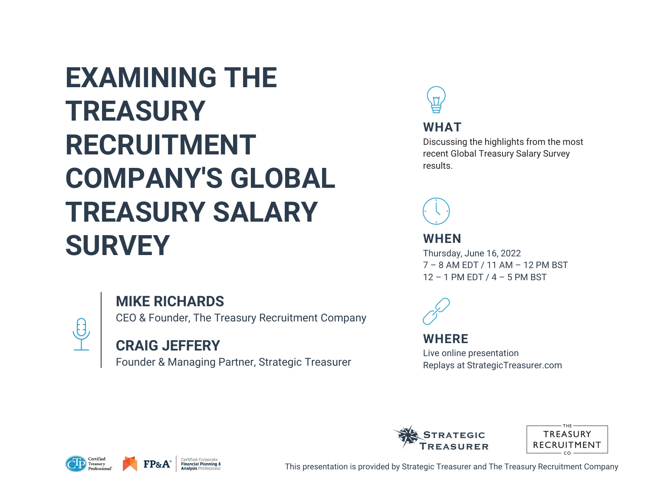# **EXAMINING THE TREASURY RECRUITMENT COMPANY'S GLOBAL TREASURY SALARY SURVEY**



CEO & Founder, The Treasury Recruitment Company

### **CRAIG JEFFERY**

Founder & Managing Partner, Strategic Treasurer



 $\frac{\theta}{\sqrt{2}}$ 





This presentation is provided by Strategic Treasurer and The Treasury Recruitment Company



#### **WHAT**

Discussing the highlights from the most recent Global Treasury Salary Survey results.



#### **WHEN**

Thursday, June 16, 2022 7 – 8 AM EDT / 11 AM – 12 PM BST 12 – 1 PM EDT / 4 – 5 PM BST



#### **WHERE**

Live online presentation Replays at StrategicTreasurer.com



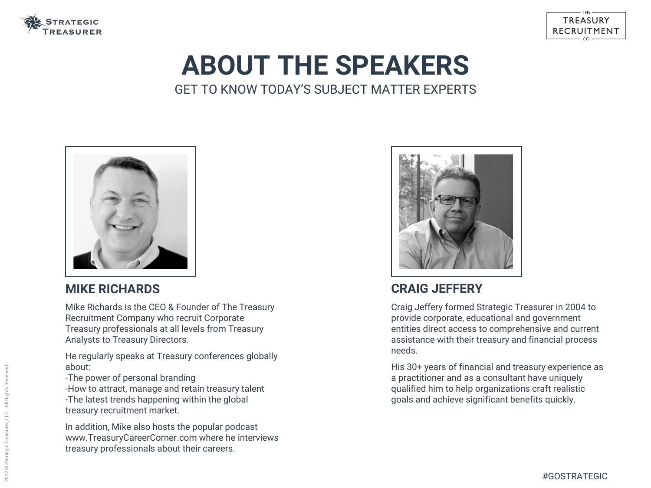

# **ABOUT THE SPEAKERS** GET TO KNOW TODAY'S SUBJECT MATTER EXPERTS



### **CRAIG JEFFERY**

Craig Jeffery formed Strategic Treasurer in 2004 to provide corporate, educational and government entities direct access to comprehensive and current assistance with their treasury and financial process needs.

His 30+ years of financial and treasury experience as a practitioner and as a consultant have uniquely qualified him to help organizations craft realistic goals and achieve significant benefits quickly.

#### TREASURY RECRUITMENT

### **MIKE RICHARDS**

Mike Richards is the CEO & Founder of The Treasury Recruitment Company who recruit Corporate Treasury professionals at all levels from Treasury Analysts to Treasury Directors.

He regularly speaks at Treasury conferences globally about:

-The power of personal branding

-How to attract, manage and retain treasury talent -The latest trends happening within the global treasury recruitment market.

In addition, Mike also hosts the popular podcast www.TreasuryCareerCorner.com where he interviews treasury professionals about their careers.

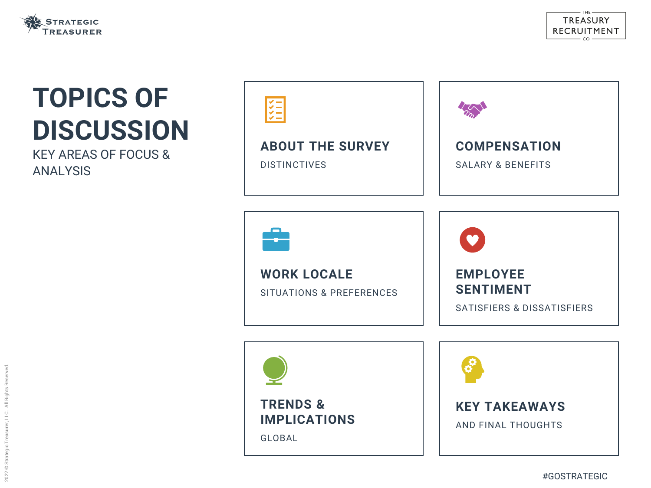#### **ABOUT THE SURVEY**

DISTINCTIVES



#### **WORK LOCALE**

SITUATIONS & PREFERENCES





# **TOPICS OF DISCUSSION**

KEY AREAS OF FOCUS & ANALYSIS





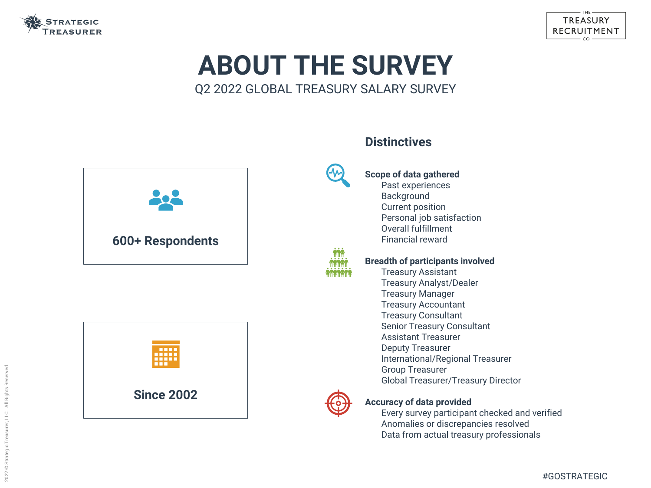

## **ABOUT THE SURVEY** Q2 2022 GLOBAL TREASURY SALARY SURVEY

### **Distinctives**

#### **Scope of data gathered**

Past experiences

- Background Current position Personal job satisfaction Overall fulfillment
- Financial reward

#### **Breadth of participants involved**

- Treasury Assistant Treasury Analyst/Dealer Treasury Manager Treasury Accountant Treasury Consultant Senior Treasury Consultant Assistant Treasurer Deputy Treasurer International/Regional Treasurer Group Treasurer
- 
- 
- 
- 
- 
- 
- Global Treasurer/Treasury Director



#### **Accuracy of data provided**

Every survey participant checked and verified Anomalies or discrepancies resolved Data from actual treasury professionals

#### TREASURY RECRUITMENT







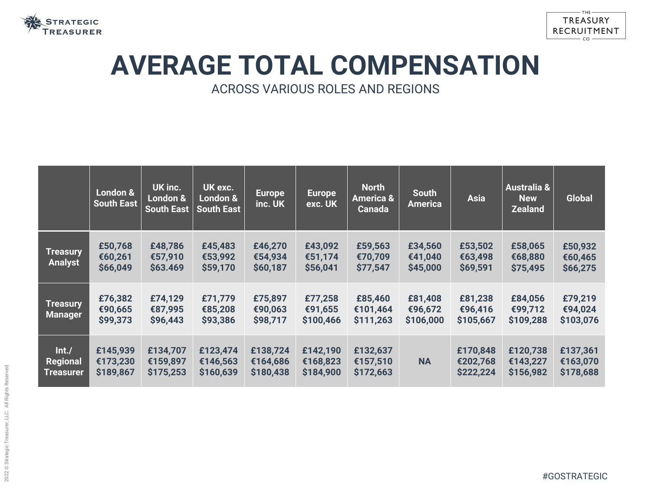

# **AVERAGE TOTAL COMPENSATION** ACROSS VARIOUS ROLES AND REGIONS

|                                              | London &<br><b>South East</b>     | <b>UK inc.</b><br><b>London &amp;</b><br><b>South East</b> | UK exc.<br>London &<br><b>South East</b> | <b>Europe</b><br>inc. UK          | <b>Europe</b><br>exc. UK          | <b>North</b><br><b>America &amp;</b><br><b>Canada</b> | <b>South</b><br><b>America</b>  | <b>Asia</b>                       | <b>Australia &amp;</b><br><b>New</b><br><b>Zealand</b> | <b>Global</b>                     |
|----------------------------------------------|-----------------------------------|------------------------------------------------------------|------------------------------------------|-----------------------------------|-----------------------------------|-------------------------------------------------------|---------------------------------|-----------------------------------|--------------------------------------------------------|-----------------------------------|
| <b>Treasury</b><br><b>Analyst</b>            | £50,768<br>€60,261<br>\$66,049    | £48,786<br>€57,910<br>\$63.469                             | £45,483<br>€53,992<br>\$59,170           | £46,270<br>€54,934<br>\$60,187    | £43,092<br>€51,174<br>\$56,041    | £59,563<br>€70,709<br>\$77,547                        | £34,560<br>€41,040<br>\$45,000  | £53,502<br>€63,498<br>\$69,591    | £58,065<br>€68,880<br>\$75,495                         | £50,932<br>€60,465<br>\$66,275    |
| <b>Treasury</b><br><b>Manager</b>            | £76,382<br>€90,665<br>\$99,373    | £74,129<br>€87,995<br>\$96,443                             | £71,779<br>€85,208<br>\$93,386           | £75,897<br>€90,063<br>\$98,717    | £77,258<br>€91,655<br>\$100,466   | £85,460<br>€101,464<br>\$111,263                      | £81,408<br>€96,672<br>\$106,000 | £81,238<br>€96,416<br>\$105,667   | £84,056<br>€99,712<br>\$109,288                        | £79,219<br>€94,024<br>\$103,076   |
| Int./<br><b>Regional</b><br><b>Treasurer</b> | £145,939<br>€173,230<br>\$189,867 | £134,707<br>€159,897<br>\$175,253                          | £123,474<br>€146,563<br>\$160,639        | £138,724<br>€164,686<br>\$180,438 | £142,190<br>€168,823<br>\$184,900 | £132,637<br>€157,510<br>\$172,663                     | <b>NA</b>                       | £170,848<br>€202,768<br>\$222,224 | £120,738<br>€143,227<br>\$156,982                      | £137,361<br>€163,070<br>\$178,688 |

#### TREASURY RECRUITMENT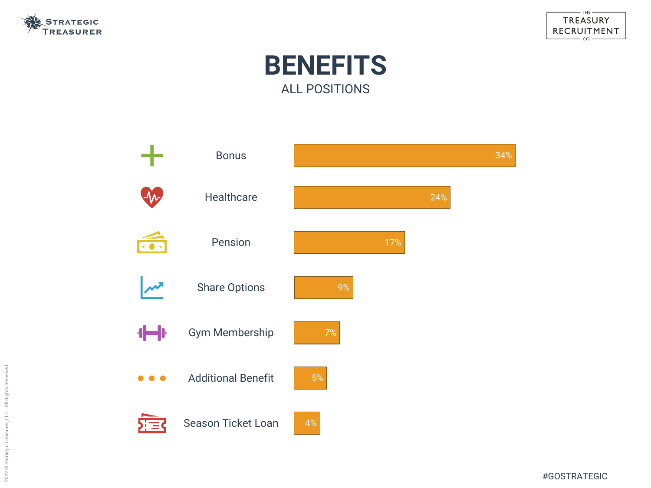#### TREASURY RECRUITMENT  $\mathsf{co}$



#GOSTRATEGIC





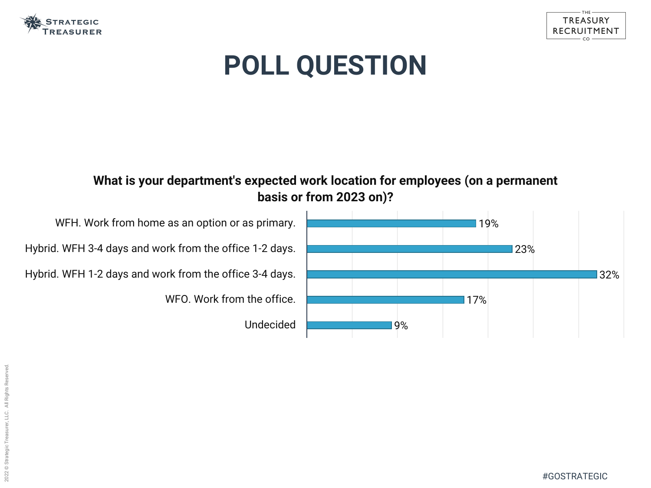

# **POLL QUESTION**







WFH. Work from home as an option or as primary.

Hybrid. WFH 3-4 days and work from the office 1-2 days.

Hybrid. WFH 1-2 days and work from the office 3-4 days.

WFO. Work from the office.

Undecided

### **What is your department's expected work location for employees (on a permanent basis or from 2023 on)?**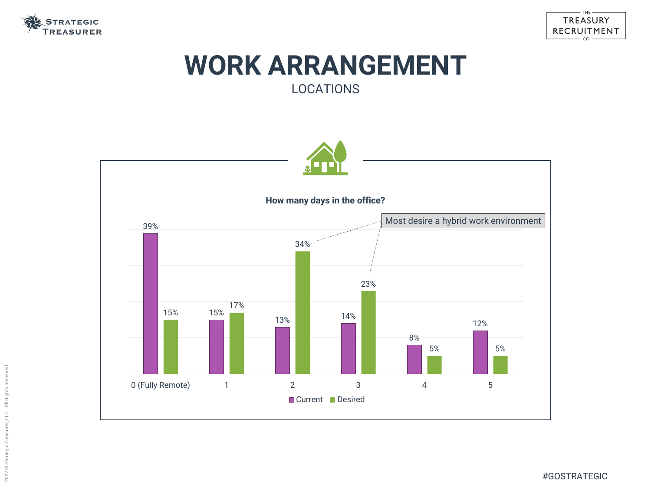#### TREASURY RECRUITMENT  $CO$

#GOSTRATEGIC



## **WORK ARRANGEMENT** LOCATIONS

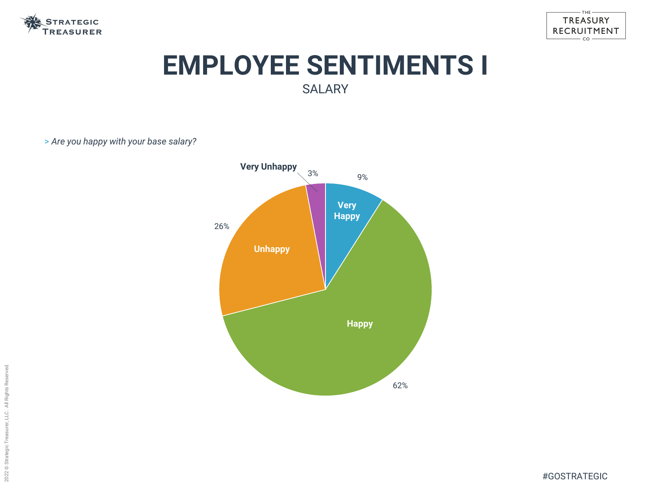



# **EMPLOYEE SENTIMENTS I** SALARY

> *Are you happy with your base salary?*

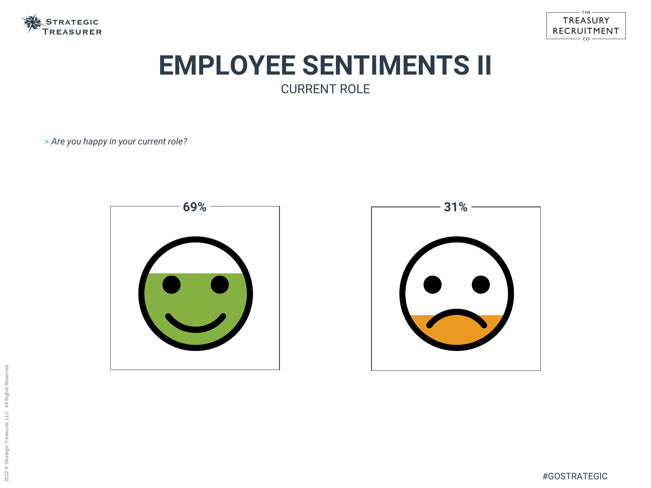





# **EMPLOYEE SENTIMENTS II** CURRENT ROLE

> *Are you happy in your current role?*

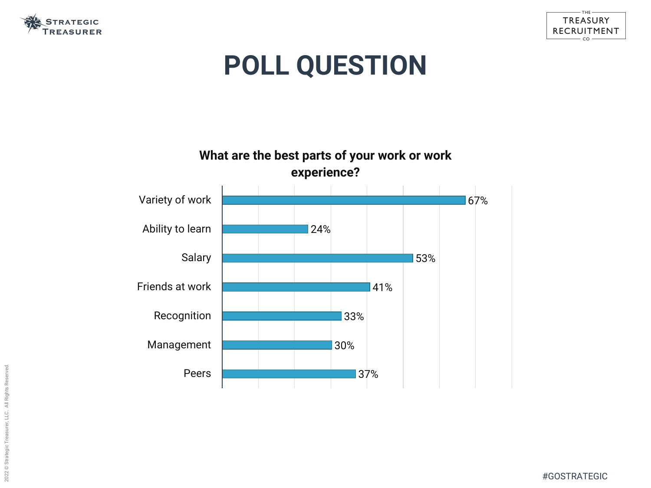





# **POLL QUESTION**



#### **What are the best parts of your work or work experience?**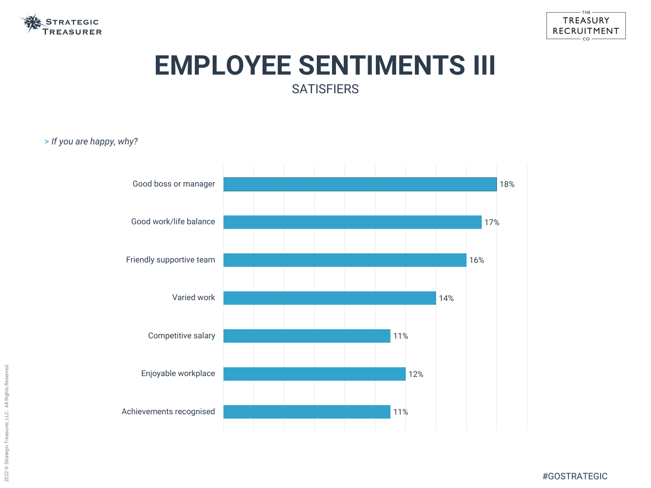



# **EMPLOYEE SENTIMENTS III SATISFIERS**

#GOSTRATEGIC

> *If you are happy, why?*

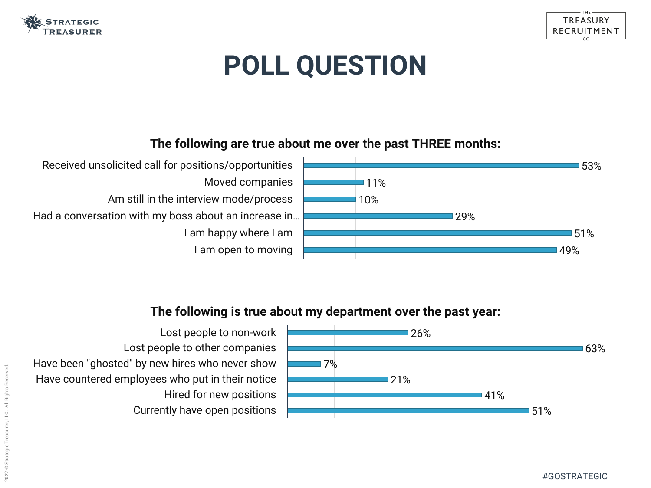

# **POLL QUESTION**



- Received unsolicited call for positions/opportunities Moved companies
	- Am still in the interview mode/process
- Had a conversation with my boss about an increase in… I am happy where I am I am open to moving

### **The following are true about me over the past THREE months:**



Lost people to non-work Lost people to other companies Have been "ghosted" by new hires who never show Have countered employees who put in their notice Hired for new positions Currently have open positions





#### **The following is true about my department over the past year:**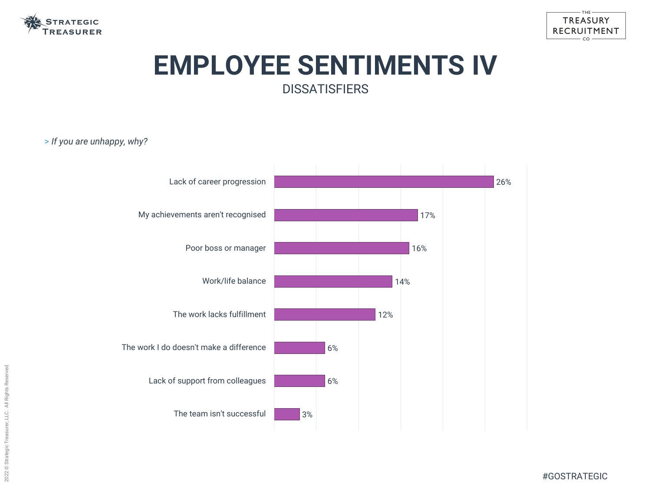



# **EMPLOYEE SENTIMENTS IV DISSATISFIERS**

#GOSTRATEGIC

> *If you are unhappy, why?*

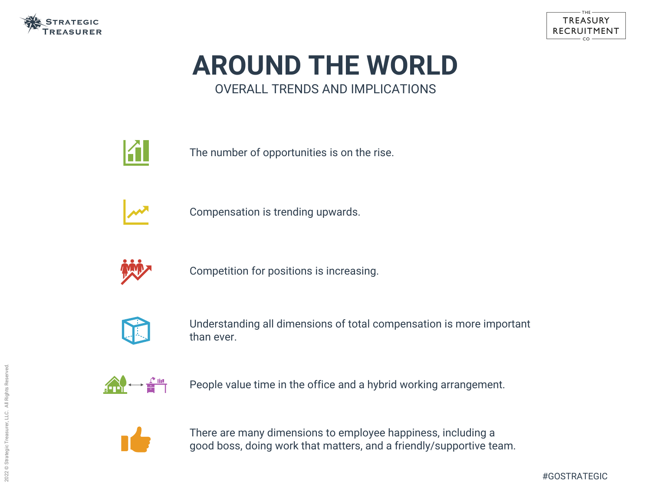

# **AROUND THE WORLD** OVERALL TRENDS AND IMPLICATIONS



The number of opportunities is on the rise.



Compensation is trending upwards.



Competition for positions is increasing.



Understanding all dimensions of total compensation is more important than ever.



There are many dimensions to employee happiness, including a good boss, doing work that matters, and a friendly/supportive team.



People value time in the office and a hybrid working arrangement.

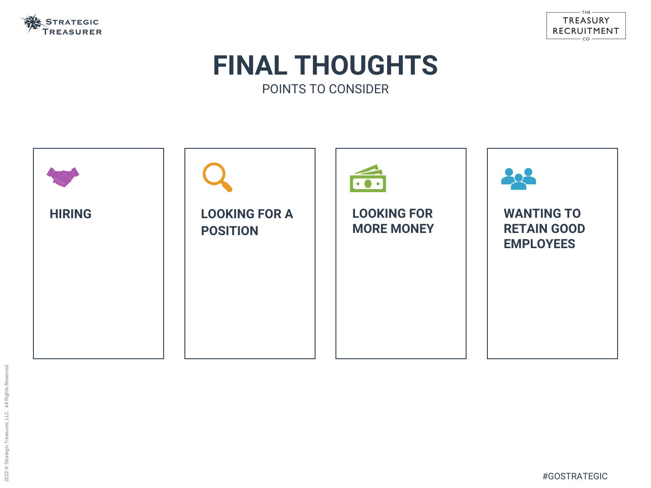





## **FINAL THOUGHTS** POINTS TO CONSIDER